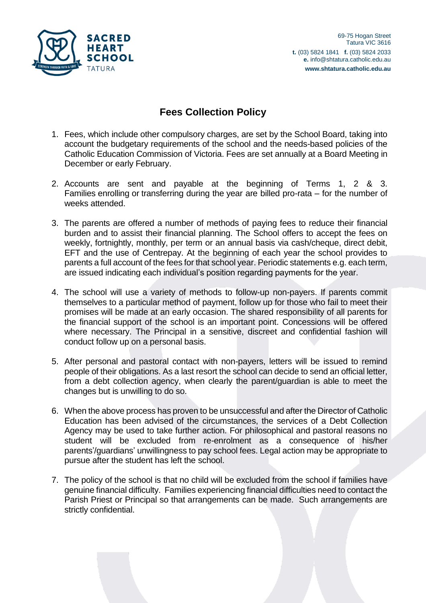

## **Fees Collection Policy**

- 1. Fees, which include other compulsory charges, are set by the School Board, taking into account the budgetary requirements of the school and the needs-based policies of the Catholic Education Commission of Victoria. Fees are set annually at a Board Meeting in December or early February.
- 2. Accounts are sent and payable at the beginning of Terms 1, 2 & 3. Families enrolling or transferring during the year are billed pro-rata – for the number of weeks attended.
- 3. The parents are offered a number of methods of paying fees to reduce their financial burden and to assist their financial planning. The School offers to accept the fees on weekly, fortnightly, monthly, per term or an annual basis via cash/cheque, direct debit, EFT and the use of Centrepay. At the beginning of each year the school provides to parents a full account of the fees for that school year. Periodic statements e.g. each term, are issued indicating each individual's position regarding payments for the year.
- 4. The school will use a variety of methods to follow-up non-payers. If parents commit themselves to a particular method of payment, follow up for those who fail to meet their promises will be made at an early occasion. The shared responsibility of all parents for the financial support of the school is an important point. Concessions will be offered where necessary. The Principal in a sensitive, discreet and confidential fashion will conduct follow up on a personal basis.
- 5. After personal and pastoral contact with non-payers, letters will be issued to remind people of their obligations. As a last resort the school can decide to send an official letter, from a debt collection agency, when clearly the parent/guardian is able to meet the changes but is unwilling to do so.
- 6. When the above process has proven to be unsuccessful and after the Director of Catholic Education has been advised of the circumstances, the services of a Debt Collection Agency may be used to take further action. For philosophical and pastoral reasons no student will be excluded from re-enrolment as a consequence of his/her parents'/guardians' unwillingness to pay school fees. Legal action may be appropriate to pursue after the student has left the school.
- 7. The policy of the school is that no child will be excluded from the school if families have genuine financial difficulty. Families experiencing financial difficulties need to contact the Parish Priest or Principal so that arrangements can be made. Such arrangements are strictly confidential.